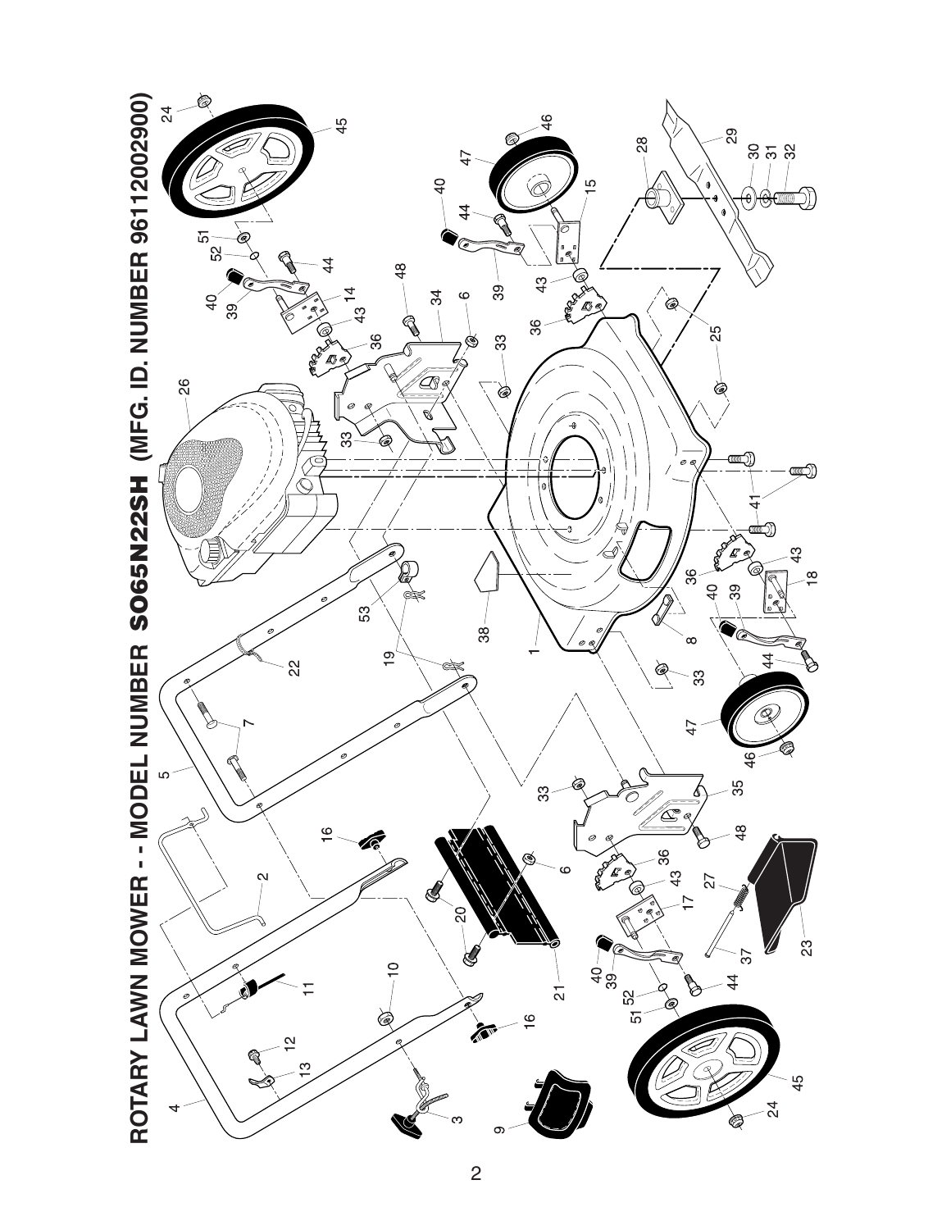